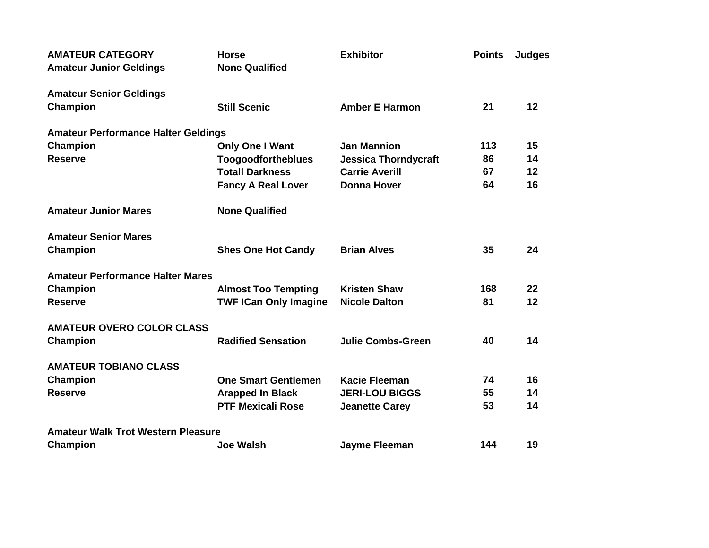| <b>AMATEUR CATEGORY</b><br><b>Amateur Junior Geldings</b> | <b>Horse</b><br><b>None Qualified</b> | <b>Exhibitor</b>            | <b>Points</b> | Judges |
|-----------------------------------------------------------|---------------------------------------|-----------------------------|---------------|--------|
| <b>Amateur Senior Geldings</b>                            |                                       |                             |               |        |
| <b>Champion</b>                                           | <b>Still Scenic</b>                   | <b>Amber E Harmon</b>       | 21            | 12     |
| <b>Amateur Performance Halter Geldings</b>                |                                       |                             |               |        |
| Champion                                                  | Only One I Want                       | <b>Jan Mannion</b>          | 113           | 15     |
| <b>Reserve</b>                                            | <b>Toogoodfortheblues</b>             | <b>Jessica Thorndycraft</b> | 86            | 14     |
|                                                           | <b>Totall Darkness</b>                | <b>Carrie Averill</b>       | 67            | 12     |
|                                                           | <b>Fancy A Real Lover</b>             | <b>Donna Hover</b>          | 64            | 16     |
| <b>Amateur Junior Mares</b>                               | <b>None Qualified</b>                 |                             |               |        |
| <b>Amateur Senior Mares</b>                               |                                       |                             |               |        |
| Champion                                                  | <b>Shes One Hot Candy</b>             | <b>Brian Alves</b>          | 35            | 24     |
| <b>Amateur Performance Halter Mares</b>                   |                                       |                             |               |        |
| <b>Champion</b>                                           | <b>Almost Too Tempting</b>            | <b>Kristen Shaw</b>         | 168           | 22     |
| <b>Reserve</b>                                            | <b>TWF ICan Only Imagine</b>          | <b>Nicole Dalton</b>        | 81            | 12     |
| <b>AMATEUR OVERO COLOR CLASS</b>                          |                                       |                             |               |        |
| <b>Champion</b>                                           | <b>Radified Sensation</b>             | <b>Julie Combs-Green</b>    | 40            | 14     |
| <b>AMATEUR TOBIANO CLASS</b>                              |                                       |                             |               |        |
| Champion                                                  | <b>One Smart Gentlemen</b>            | <b>Kacie Fleeman</b>        | 74            | 16     |
| <b>Reserve</b>                                            | <b>Arapped In Black</b>               | <b>JERI-LOU BIGGS</b>       | 55            | 14     |
|                                                           | <b>PTF Mexicali Rose</b>              | <b>Jeanette Carey</b>       | 53            | 14     |
| <b>Amateur Walk Trot Western Pleasure</b>                 |                                       |                             |               |        |
| <b>Champion</b>                                           | <b>Joe Walsh</b>                      | <b>Jayme Fleeman</b>        | 144           | 19     |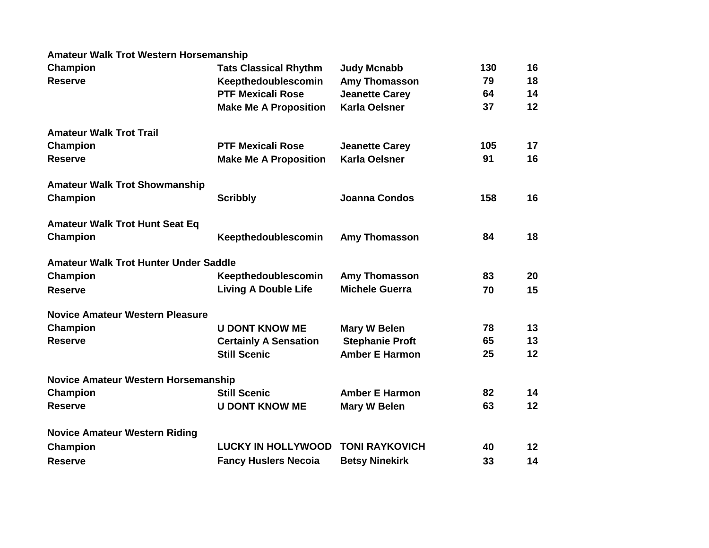## **Amateur Walk Trot Western Horsemanship**

| Champion                                     | <b>Tats Classical Rhythm</b> | <b>Judy Mcnabb</b>     | 130 | 16              |
|----------------------------------------------|------------------------------|------------------------|-----|-----------------|
| <b>Reserve</b>                               | Keepthedoublescomin          | <b>Amy Thomasson</b>   | 79  | 18              |
|                                              | <b>PTF Mexicali Rose</b>     | <b>Jeanette Carey</b>  | 64  | 14              |
|                                              | <b>Make Me A Proposition</b> | <b>Karla Oelsner</b>   | 37  | 12              |
| <b>Amateur Walk Trot Trail</b>               |                              |                        |     |                 |
| Champion                                     | <b>PTF Mexicali Rose</b>     | <b>Jeanette Carey</b>  | 105 | 17              |
| <b>Reserve</b>                               | <b>Make Me A Proposition</b> | <b>Karla Oelsner</b>   | 91  | 16              |
| <b>Amateur Walk Trot Showmanship</b>         |                              |                        |     |                 |
| <b>Champion</b>                              | <b>Scribbly</b>              | <b>Joanna Condos</b>   | 158 | 16              |
| <b>Amateur Walk Trot Hunt Seat Eq</b>        |                              |                        |     |                 |
| Champion                                     | Keepthedoublescomin          | <b>Amy Thomasson</b>   | 84  | 18              |
| <b>Amateur Walk Trot Hunter Under Saddle</b> |                              |                        |     |                 |
| Champion                                     | Keepthedoublescomin          | <b>Amy Thomasson</b>   | 83  | 20              |
| <b>Reserve</b>                               | <b>Living A Double Life</b>  | <b>Michele Guerra</b>  | 70  | 15              |
| <b>Novice Amateur Western Pleasure</b>       |                              |                        |     |                 |
| Champion                                     | <b>U DONT KNOW ME</b>        | Mary W Belen           | 78  | 13              |
| <b>Reserve</b>                               | <b>Certainly A Sensation</b> | <b>Stephanie Proft</b> | 65  | 13              |
|                                              | <b>Still Scenic</b>          | <b>Amber E Harmon</b>  | 25  | 12              |
| <b>Novice Amateur Western Horsemanship</b>   |                              |                        |     |                 |
| Champion                                     | <b>Still Scenic</b>          | <b>Amber E Harmon</b>  | 82  | 14              |
| <b>Reserve</b>                               | <b>U DONT KNOW ME</b>        | <b>Mary W Belen</b>    | 63  | 12              |
| <b>Novice Amateur Western Riding</b>         |                              |                        |     |                 |
| Champion                                     | <b>LUCKY IN HOLLYWOOD</b>    | <b>TONI RAYKOVICH</b>  | 40  | 12 <sub>2</sub> |
| <b>Reserve</b>                               | <b>Fancy Huslers Necoia</b>  | <b>Betsy Ninekirk</b>  | 33  | 14              |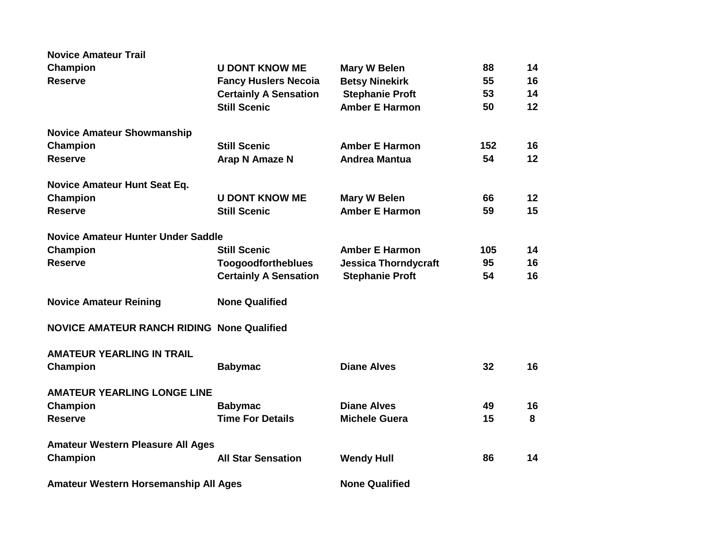| <b>Novice Amateur Trail</b>                       |                              |                             |     |    |
|---------------------------------------------------|------------------------------|-----------------------------|-----|----|
| Champion                                          | <b>U DONT KNOW ME</b>        | <b>Mary W Belen</b>         | 88  | 14 |
| <b>Reserve</b>                                    | <b>Fancy Huslers Necoia</b>  | <b>Betsy Ninekirk</b>       | 55  | 16 |
|                                                   | <b>Certainly A Sensation</b> | <b>Stephanie Proft</b>      | 53  | 14 |
|                                                   | <b>Still Scenic</b>          | <b>Amber E Harmon</b>       | 50  | 12 |
| <b>Novice Amateur Showmanship</b>                 |                              |                             |     |    |
| Champion                                          | <b>Still Scenic</b>          | <b>Amber E Harmon</b>       | 152 | 16 |
| <b>Reserve</b>                                    | Arap N Amaze N               | <b>Andrea Mantua</b>        | 54  | 12 |
| Novice Amateur Hunt Seat Eq.                      |                              |                             |     |    |
| Champion                                          | <b>U DONT KNOW ME</b>        | <b>Mary W Belen</b>         | 66  | 12 |
| <b>Reserve</b>                                    | <b>Still Scenic</b>          | <b>Amber E Harmon</b>       | 59  | 15 |
| <b>Novice Amateur Hunter Under Saddle</b>         |                              |                             |     |    |
| Champion                                          | <b>Still Scenic</b>          | <b>Amber E Harmon</b>       | 105 | 14 |
| <b>Reserve</b>                                    | <b>Toogoodfortheblues</b>    | <b>Jessica Thorndycraft</b> | 95  | 16 |
|                                                   | <b>Certainly A Sensation</b> | <b>Stephanie Proft</b>      | 54  | 16 |
| <b>Novice Amateur Reining</b>                     | <b>None Qualified</b>        |                             |     |    |
| <b>NOVICE AMATEUR RANCH RIDING None Qualified</b> |                              |                             |     |    |
| <b>AMATEUR YEARLING IN TRAIL</b>                  |                              |                             |     |    |
| Champion                                          | <b>Babymac</b>               | <b>Diane Alves</b>          | 32  | 16 |
| <b>AMATEUR YEARLING LONGE LINE</b>                |                              |                             |     |    |
| Champion                                          | <b>Babymac</b>               | <b>Diane Alves</b>          | 49  | 16 |
| <b>Reserve</b>                                    | <b>Time For Details</b>      | <b>Michele Guera</b>        | 15  | 8  |
| <b>Amateur Western Pleasure All Ages</b>          |                              |                             |     |    |
| Champion                                          | <b>All Star Sensation</b>    | <b>Wendy Hull</b>           | 86  | 14 |
| Amateur Western Horsemanship All Ages             |                              | <b>None Qualified</b>       |     |    |